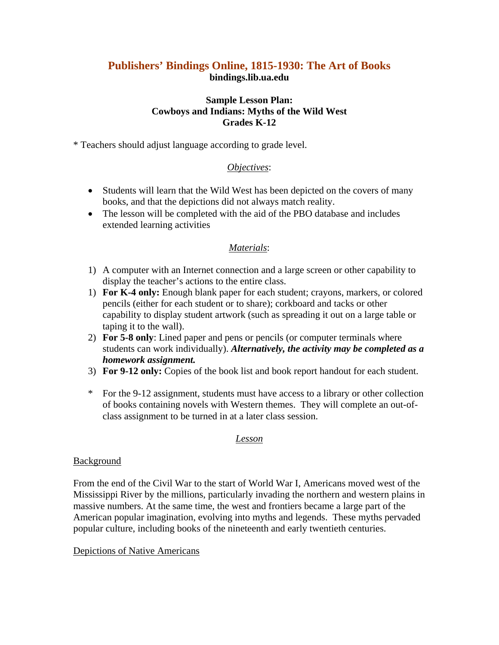# **Publishers' Bindings Online, 1815-1930: The Art of Books bindings.lib.ua.edu**

## **Sample Lesson Plan: Cowboys and Indians: Myths of the Wild West Grades K-12**

\* Teachers should adjust language according to grade level.

## *Objectives*:

- Students will learn that the Wild West has been depicted on the covers of many books, and that the depictions did not always match reality.
- The lesson will be completed with the aid of the PBO database and includes extended learning activities

## *Materials*:

- 1) A computer with an Internet connection and a large screen or other capability to display the teacher's actions to the entire class.
- 1) **For K-4 only:** Enough blank paper for each student; crayons, markers, or colored pencils (either for each student or to share); corkboard and tacks or other capability to display student artwork (such as spreading it out on a large table or taping it to the wall).
- 2) **For 5-8 only**: Lined paper and pens or pencils (or computer terminals where students can work individually). *Alternatively, the activity may be completed as a homework assignment.*
- 3) **For 9-12 only:** Copies of the book list and book report handout for each student.
- \* For the 9-12 assignment, students must have access to a library or other collection of books containing novels with Western themes. They will complete an out-ofclass assignment to be turned in at a later class session.

## *Lesson*

## **Background**

From the end of the Civil War to the start of World War I, Americans moved west of the Mississippi River by the millions, particularly invading the northern and western plains in massive numbers. At the same time, the west and frontiers became a large part of the American popular imagination, evolving into myths and legends. These myths pervaded popular culture, including books of the nineteenth and early twentieth centuries.

## Depictions of Native Americans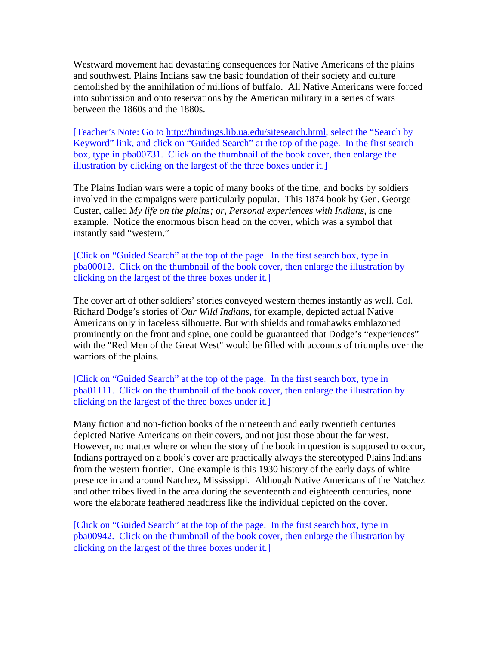Westward movement had devastating consequences for Native Americans of the plains and southwest. Plains Indians saw the basic foundation of their society and culture demolished by the annihilation of millions of buffalo. All Native Americans were forced into submission and onto reservations by the American military in a series of wars between the 1860s and the 1880s.

[Teacher's Note: Go to [http://bindings.lib.ua.edu/sitesearch.html,](http://bindings.lib.ua.edu/sitesearch.html) select the "Search by Keyword" link, and click on "Guided Search" at the top of the page. In the first search box, type in pba00731. Click on the thumbnail of the book cover, then enlarge the illustration by clicking on the largest of the three boxes under it.]

The Plains Indian wars were a topic of many books of the time, and books by soldiers involved in the campaigns were particularly popular. This 1874 book by Gen. George Custer, called *My life on the plains; or, Personal experiences with Indians*, is one example. Notice the enormous bison head on the cover, which was a symbol that instantly said "western."

[Click on "Guided Search" at the top of the page. In the first search box, type in pba00012. Click on the thumbnail of the book cover, then enlarge the illustration by clicking on the largest of the three boxes under it.]

The cover art of other soldiers' stories conveyed western themes instantly as well. Col. Richard Dodge's stories of *Our Wild Indians*, for example, depicted actual Native Americans only in faceless silhouette. But with shields and tomahawks emblazoned prominently on the front and spine, one could be guaranteed that Dodge's "experiences" with the "Red Men of the Great West" would be filled with accounts of triumphs over the warriors of the plains.

[Click on "Guided Search" at the top of the page. In the first search box, type in pba01111. Click on the thumbnail of the book cover, then enlarge the illustration by clicking on the largest of the three boxes under it.]

Many fiction and non-fiction books of the nineteenth and early twentieth centuries depicted Native Americans on their covers, and not just those about the far west. However, no matter where or when the story of the book in question is supposed to occur, Indians portrayed on a book's cover are practically always the stereotyped Plains Indians from the western frontier. One example is this 1930 history of the early days of white presence in and around Natchez, Mississippi. Although Native Americans of the Natchez and other tribes lived in the area during the seventeenth and eighteenth centuries, none wore the elaborate feathered headdress like the individual depicted on the cover.

[Click on "Guided Search" at the top of the page. In the first search box, type in pba00942. Click on the thumbnail of the book cover, then enlarge the illustration by clicking on the largest of the three boxes under it.]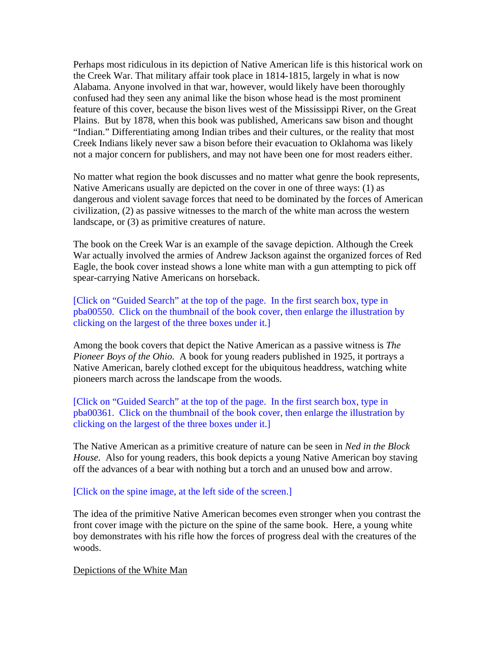Perhaps most ridiculous in its depiction of Native American life is this historical work on the Creek War. That military affair took place in 1814-1815, largely in what is now Alabama. Anyone involved in that war, however, would likely have been thoroughly confused had they seen any animal like the bison whose head is the most prominent feature of this cover, because the bison lives west of the Mississippi River, on the Great Plains. But by 1878, when this book was published, Americans saw bison and thought "Indian." Differentiating among Indian tribes and their cultures, or the reality that most Creek Indians likely never saw a bison before their evacuation to Oklahoma was likely not a major concern for publishers, and may not have been one for most readers either.

No matter what region the book discusses and no matter what genre the book represents, Native Americans usually are depicted on the cover in one of three ways: (1) as dangerous and violent savage forces that need to be dominated by the forces of American civilization, (2) as passive witnesses to the march of the white man across the western landscape, or (3) as primitive creatures of nature.

The book on the Creek War is an example of the savage depiction. Although the Creek War actually involved the armies of Andrew Jackson against the organized forces of Red Eagle, the book cover instead shows a lone white man with a gun attempting to pick off spear-carrying Native Americans on horseback.

[Click on "Guided Search" at the top of the page. In the first search box, type in pba00550. Click on the thumbnail of the book cover, then enlarge the illustration by clicking on the largest of the three boxes under it.]

Among the book covers that depict the Native American as a passive witness is *The Pioneer Boys of the Ohio.* A book for young readers published in 1925, it portrays a Native American, barely clothed except for the ubiquitous headdress, watching white pioneers march across the landscape from the woods.

[Click on "Guided Search" at the top of the page. In the first search box, type in pba00361. Click on the thumbnail of the book cover, then enlarge the illustration by clicking on the largest of the three boxes under it.]

The Native American as a primitive creature of nature can be seen in *Ned in the Block House.* Also for young readers, this book depicts a young Native American boy staving off the advances of a bear with nothing but a torch and an unused bow and arrow.

#### [Click on the spine image, at the left side of the screen.]

The idea of the primitive Native American becomes even stronger when you contrast the front cover image with the picture on the spine of the same book. Here, a young white boy demonstrates with his rifle how the forces of progress deal with the creatures of the woods.

#### Depictions of the White Man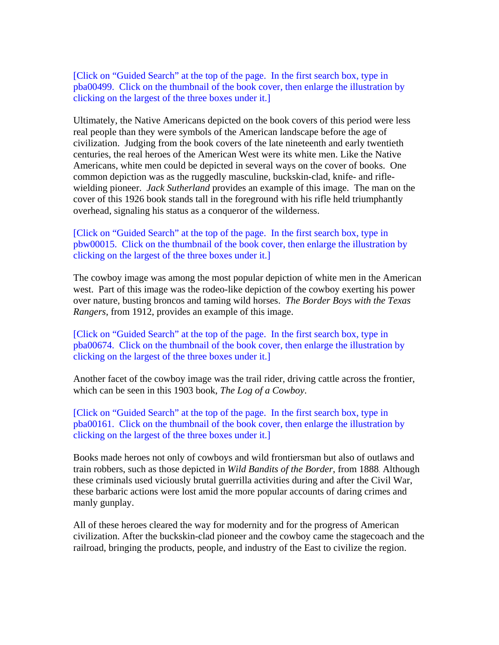[Click on "Guided Search" at the top of the page. In the first search box, type in pba00499. Click on the thumbnail of the book cover, then enlarge the illustration by clicking on the largest of the three boxes under it.]

Ultimately, the Native Americans depicted on the book covers of this period were less real people than they were symbols of the American landscape before the age of civilization. Judging from the book covers of the late nineteenth and early twentieth centuries, the real heroes of the American West were its white men. Like the Native Americans, white men could be depicted in several ways on the cover of books. One common depiction was as the ruggedly masculine, buckskin-clad, knife- and riflewielding pioneer. *Jack Sutherland* provides an example of this image. The man on the cover of this 1926 book stands tall in the foreground with his rifle held triumphantly overhead, signaling his status as a conqueror of the wilderness.

### [Click on "Guided Search" at the top of the page. In the first search box, type in pbw00015. Click on the thumbnail of the book cover, then enlarge the illustration by clicking on the largest of the three boxes under it.]

The cowboy image was among the most popular depiction of white men in the American west. Part of this image was the rodeo-like depiction of the cowboy exerting his power over nature, busting broncos and taming wild horses. *The Border Boys with the Texas Rangers*, from 1912, provides an example of this image.

[Click on "Guided Search" at the top of the page. In the first search box, type in pba00674. Click on the thumbnail of the book cover, then enlarge the illustration by clicking on the largest of the three boxes under it.]

Another facet of the cowboy image was the trail rider, driving cattle across the frontier, which can be seen in this 1903 book, *The Log of a Cowboy*.

[Click on "Guided Search" at the top of the page. In the first search box, type in pba00161. Click on the thumbnail of the book cover, then enlarge the illustration by clicking on the largest of the three boxes under it.]

Books made heroes not only of cowboys and wild frontiersman but also of outlaws and train robbers, such as those depicted in *Wild Bandits of the Border*, from 1888. Although these criminals used viciously brutal guerrilla activities during and after the Civil War, these barbaric actions were lost amid the more popular accounts of daring crimes and manly gunplay.

All of these heroes cleared the way for modernity and for the progress of American civilization. After the buckskin-clad pioneer and the cowboy came the stagecoach and the railroad, bringing the products, people, and industry of the East to civilize the region.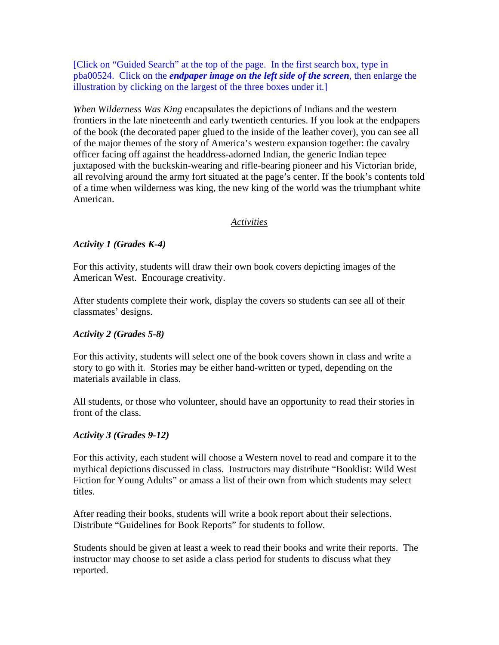[Click on "Guided Search" at the top of the page. In the first search box, type in pba00524. Click on the *endpaper image on the left side of the screen*, then enlarge the illustration by clicking on the largest of the three boxes under it.]

*When Wilderness Was King* encapsulates the depictions of Indians and the western frontiers in the late nineteenth and early twentieth centuries. If you look at the endpapers of the book (the decorated paper glued to the inside of the leather cover), you can see all of the major themes of the story of America's western expansion together: the cavalry officer facing off against the headdress-adorned Indian, the generic Indian tepee juxtaposed with the buckskin-wearing and rifle-bearing pioneer and his Victorian bride, all revolving around the army fort situated at the page's center. If the book's contents told of a time when wilderness was king, the new king of the world was the triumphant white American.

### *Activities*

### *Activity 1 (Grades K-4)*

For this activity, students will draw their own book covers depicting images of the American West. Encourage creativity.

After students complete their work, display the covers so students can see all of their classmates' designs.

### *Activity 2 (Grades 5-8)*

For this activity, students will select one of the book covers shown in class and write a story to go with it. Stories may be either hand-written or typed, depending on the materials available in class.

All students, or those who volunteer, should have an opportunity to read their stories in front of the class.

### *Activity 3 (Grades 9-12)*

For this activity, each student will choose a Western novel to read and compare it to the mythical depictions discussed in class. Instructors may distribute "Booklist: Wild West Fiction for Young Adults" or amass a list of their own from which students may select titles.

After reading their books, students will write a book report about their selections. Distribute "Guidelines for Book Reports" for students to follow.

Students should be given at least a week to read their books and write their reports. The instructor may choose to set aside a class period for students to discuss what they reported.